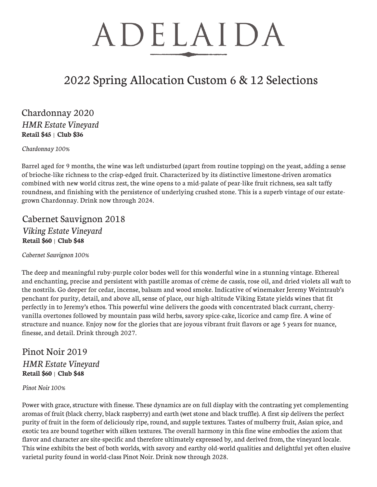### 2022 Spring Allocation Custom 6 & 12 Selections

#### Chardonnay 2020 *HMR Estate Vineyard* **Retail \$45** | **Club \$36**

*Chardonnay 100%*

Barrel aged for 9 months, the wine was left undisturbed (apart from routine topping) on the yeast, adding a sense of brioche-like richness to the crisp-edged fruit. Characterized by its distinctive limestone-driven aromatics combined with new world citrus zest, the wine opens to a mid-palate of pear-like fruit richness, sea salt taffy roundness, and finishing with the persistence of underlying crushed stone. This is a superb vintage of our estategrown Chardonnay. Drink now through 2024.

### Cabernet Sauvignon 2018 *Viking Estate Vineyard* **Retail \$60** | **Club \$48**

*Cabernet Sauvignon 100%*

The deep and meaningful ruby-purple color bodes well for this wonderful wine in a stunning vintage. Ethereal and enchanting, precise and persistent with pastille aromas of crème de cassis, rose oil, and dried violets all waft to the nostrils. Go deeper for cedar, incense, balsam and wood smoke. Indicative of winemaker Jeremy Weintraub's penchant for purity, detail, and above all, sense of place, our high-altitude Viking Estate yields wines that fit perfectly in to Jeremy's ethos. This powerful wine delivers the goods with concentrated black currant, cherryvanilla overtones followed by mountain pass wild herbs, savory spice-cake, licorice and camp fire. A wine of structure and nuance. Enjoy now for the glories that are joyous vibrant fruit flavors or age 5 years for nuance, finesse, and detail. Drink through 2027.

### Pinot Noir 2019 *HMR Estate Vineyard* **Retail \$60** | **Club \$48**

*Pinot Noir 100%*

Power with grace, structure with finesse. These dynamics are on full display with the contrasting yet complementing aromas of fruit (black cherry, black raspberry) and earth (wet stone and black truffle). A first sip delivers the perfect purity of fruit in the form of deliciously ripe, round, and supple textures. Tastes of mulberry fruit, Asian spice, and exotic tea are bound together with silken textures. The overall harmony in this fine wine embodies the axiom that flavor and character are site-specific and therefore ultimately expressed by, and derived from, the vineyard locale. This wine exhibits the best of both worlds, with savory and earthy old-world qualities and delightful yet often elusive varietal purity found in world-class Pinot Noir. Drink now through 2028.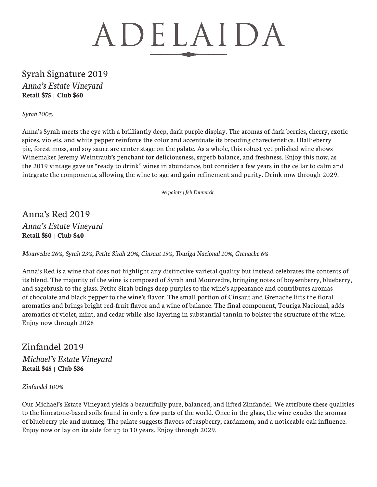### Syrah Signature 2019 *Anna's Estate Vineyard* **Retail \$75** | **Club \$60**

*Syrah 100%*

Anna's Syrah meets the eye with a brilliantly deep, dark purple display. The aromas of dark berries, cherry, exotic spices, violets, and white pepper reinforce the color and accentuate its brooding charecteristics. Olallieberry pie, forest moss, and soy sauce are center stage on the palate. As a whole, this robust yet polished wine shows Winemaker Jeremy Weintraub's penchant for deliciousness, superb balance, and freshness. Enjoy this now, as the 2019 vintage gave us "ready to drink" wines in abundance, but consider a few years in the cellar to calm and integrate the components, allowing the wine to age and gain refinement and purity. Drink now through 2029.

 *96 points | Jeb Dunnuck*

Anna's Red 2019 *Anna's Estate Vineyard* **Retail \$50** | **Club \$40**

*Mourvedre 26%, Syrah 23%, Petite Sirah 20%, Cinsaut 15%, Touriga Nacional 10%, Grenache 6%*

Anna's Red is a wine that does not highlight any distinctive varietal quality but instead celebrates the contents of its blend. The majority of the wine is composed of Syrah and Mourvedre, bringing notes of boysenberry, blueberry, and sagebrush to the glass. Petite Sirah brings deep purples to the wine's appearance and contributes aromas of chocolate and black pepper to the wine's flavor. The small portion of Cinsaut and Grenache lifts the floral aromatics and brings bright red-fruit flavor and a wine of balance. The final component, Touriga Nacional, adds aromatics of violet, mint, and cedar while also layering in substantial tannin to bolster the structure of the wine. Enjoy now through 2028

Zinfandel 2019 *Michael's Estate Vineyard* **Retail \$45** | **Club \$36**

*Zinfandel 100%*

Our Michael's Estate Vineyard yields a beautifully pure, balanced, and lifted Zinfandel. We attribute these qualities to the limestone-based soils found in only a few parts of the world. Once in the glass, the wine exudes the aromas of blueberry pie and nutmeg. The palate suggests flavors of raspberry, cardamom, and a noticeable oak influence. Enjoy now or lay on its side for up to 10 years. Enjoy through 2029.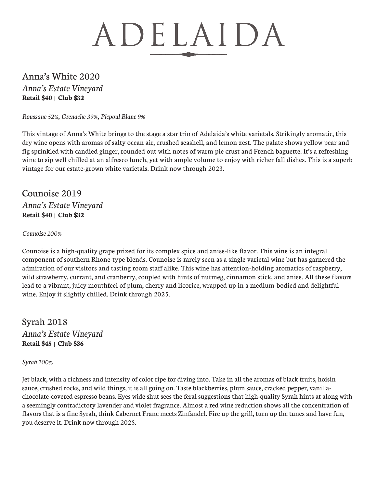### Anna's White 2020 *Anna's Estate Vineyard* **Retail \$40** | **Club \$32**

*Roussane 52%, Grenache 39%, Picpoul Blanc 9%*

This vintage of Anna's White brings to the stage a star trio of Adelaida's white varietals. Strikingly aromatic, this dry wine opens with aromas of salty ocean air, crushed seashell, and lemon zest. The palate shows yellow pear and fig sprinkled with candied ginger, rounded out with notes of warm pie crust and French baguette. It's a refreshing wine to sip well chilled at an alfresco lunch, yet with ample volume to enjoy with richer fall dishes. This is a superb vintage for our estate-grown white varietals. Drink now through 2023.

Counoise 2019 *Anna's Estate Vineyard* **Retail \$40** | **Club \$32**

#### *Counoise 100%*

Counoise is a high-quality grape prized for its complex spice and anise-like flavor. This wine is an integral component of southern Rhone-type blends. Counoise is rarely seen as a single varietal wine but has garnered the admiration of our visitors and tasting room staff alike. This wine has attention-holding aromatics of raspberry, wild strawberry, currant, and cranberry, coupled with hints of nutmeg, cinnamon stick, and anise. All these flavors lead to a vibrant, juicy mouthfeel of plum, cherry and licorice, wrapped up in a medium-bodied and delightful wine. Enjoy it slightly chilled. Drink through 2025.

Syrah 2018 *Anna's Estate Vineyard* **Retail \$45** | **Club \$36**

#### *Syrah 100%*

Jet black, with a richness and intensity of color ripe for diving into. Take in all the aromas of black fruits, hoisin sauce, crushed rocks, and wild things, it is all going on. Taste blackberries, plum sauce, cracked pepper, vanillachocolate-covered espresso beans. Eyes wide shut sees the feral suggestions that high-quality Syrah hints at along with a seemingly contradictory lavender and violet fragrance. Almost a red wine reduction shows all the concentration of flavors that is a fine Syrah, think Cabernet Franc meets Zinfandel. Fire up the grill, turn up the tunes and have fun, you deserve it. Drink now through 2025.